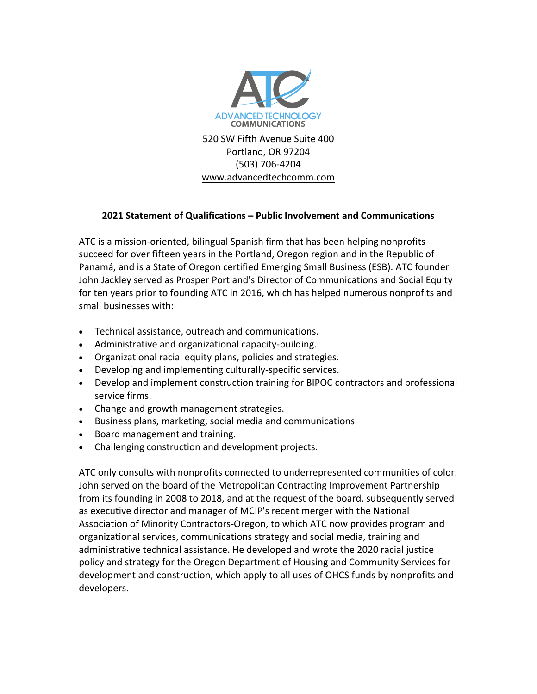

Portland, OR 97204 (503) 706-4204 www.advancedtechcomm.com

## **2021 Statement of Qualifications – Public Involvement and Communications**

ATC is a mission-oriented, bilingual Spanish firm that has been helping nonprofits succeed for over fifteen years in the Portland, Oregon region and in the Republic of Panamá, and is a State of Oregon certified Emerging Small Business (ESB). ATC founder John Jackley served as Prosper Portland's Director of Communications and Social Equity for ten years prior to founding ATC in 2016, which has helped numerous nonprofits and small businesses with:

- Technical assistance, outreach and communications.
- Administrative and organizational capacity-building.
- Organizational racial equity plans, policies and strategies.
- Developing and implementing culturally-specific services.
- Develop and implement construction training for BIPOC contractors and professional service firms.
- Change and growth management strategies.
- Business plans, marketing, social media and communications
- Board management and training.
- Challenging construction and development projects.

ATC only consults with nonprofits connected to underrepresented communities of color. John served on the board of the Metropolitan Contracting Improvement Partnership from its founding in 2008 to 2018, and at the request of the board, subsequently served as executive director and manager of MCIP's recent merger with the National Association of Minority Contractors-Oregon, to which ATC now provides program and organizational services, communications strategy and social media, training and administrative technical assistance. He developed and wrote the 2020 racial justice policy and strategy for the Oregon Department of Housing and Community Services for development and construction, which apply to all uses of OHCS funds by nonprofits and developers.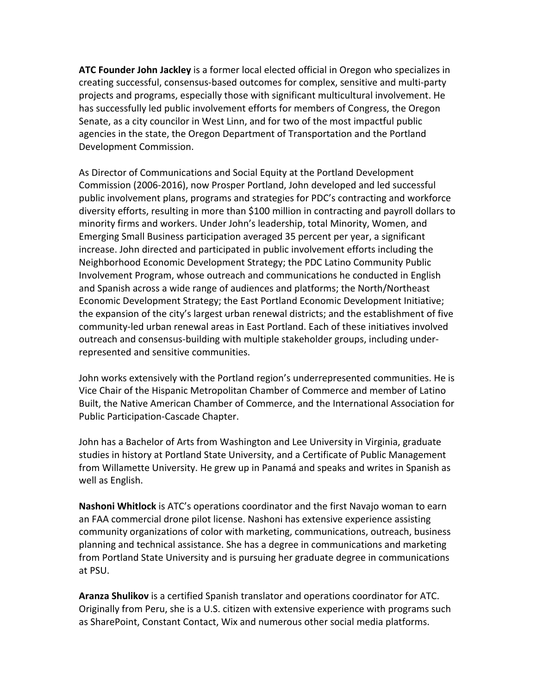**ATC Founder John Jackley** is a former local elected official in Oregon who specializes in creating successful, consensus-based outcomes for complex, sensitive and multi-party projects and programs, especially those with significant multicultural involvement. He has successfully led public involvement efforts for members of Congress, the Oregon Senate, as a city councilor in West Linn, and for two of the most impactful public agencies in the state, the Oregon Department of Transportation and the Portland Development Commission.

As Director of Communications and Social Equity at the Portland Development Commission (2006-2016), now Prosper Portland, John developed and led successful public involvement plans, programs and strategies for PDC's contracting and workforce diversity efforts, resulting in more than \$100 million in contracting and payroll dollars to minority firms and workers. Under John's leadership, total Minority, Women, and Emerging Small Business participation averaged 35 percent per year, a significant increase. John directed and participated in public involvement efforts including the Neighborhood Economic Development Strategy; the PDC Latino Community Public Involvement Program, whose outreach and communications he conducted in English and Spanish across a wide range of audiences and platforms; the North/Northeast Economic Development Strategy; the East Portland Economic Development Initiative; the expansion of the city's largest urban renewal districts; and the establishment of five community-led urban renewal areas in East Portland. Each of these initiatives involved outreach and consensus-building with multiple stakeholder groups, including underrepresented and sensitive communities.

John works extensively with the Portland region's underrepresented communities. He is Vice Chair of the Hispanic Metropolitan Chamber of Commerce and member of Latino Built, the Native American Chamber of Commerce, and the International Association for Public Participation-Cascade Chapter.

John has a Bachelor of Arts from Washington and Lee University in Virginia, graduate studies in history at Portland State University, and a Certificate of Public Management from Willamette University. He grew up in Panamá and speaks and writes in Spanish as well as English.

**Nashoni Whitlock** is ATC's operations coordinator and the first Navajo woman to earn an FAA commercial drone pilot license. Nashoni has extensive experience assisting community organizations of color with marketing, communications, outreach, business planning and technical assistance. She has a degree in communications and marketing from Portland State University and is pursuing her graduate degree in communications at PSU.

**Aranza Shulikov** is a certified Spanish translator and operations coordinator for ATC. Originally from Peru, she is a U.S. citizen with extensive experience with programs such as SharePoint, Constant Contact, Wix and numerous other social media platforms.